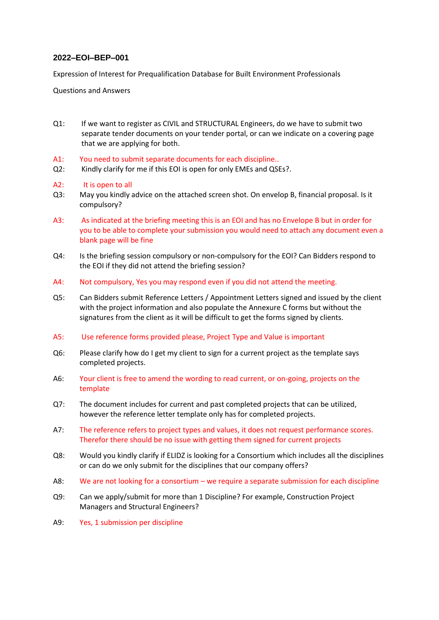## **2022–EOI–BEP–001**

Expression of Interest for Prequalification Database for Built Environment Professionals

Questions and Answers

- Q1: If we want to register as CIVIL and STRUCTURAL Engineers, do we have to submit two separate tender documents on your tender portal, or can we indicate on a covering page that we are applying for both.
- A1: You need to submit separate documents for each discipline..
- Q2: Kindly clarify for me if this EOI is open for only EMEs and QSEs?.
- A2: It is open to all
- Q3: May you kindly advice on the attached screen shot. On envelop B, financial proposal. Is it compulsory?
- A3: As indicated at the briefing meeting this is an EOI and has no Envelope B but in order for you to be able to complete your submission you would need to attach any document even a blank page will be fine
- Q4: Is the briefing session compulsory or non-compulsory for the EOI? Can Bidders respond to the EOI if they did not attend the briefing session?
- A4: Not compulsory, Yes you may respond even if you did not attend the meeting.
- Q5: Can Bidders submit Reference Letters / Appointment Letters signed and issued by the client with the project information and also populate the Annexure C forms but without the signatures from the client as it will be difficult to get the forms signed by clients.
- A5: Use reference forms provided please, Project Type and Value is important
- Q6: Please clarify how do I get my client to sign for a current project as the template says completed projects.
- A6: Your client is free to amend the wording to read current, or on-going, projects on the template
- Q7: The document includes for current and past completed projects that can be utilized, however the reference letter template only has for completed projects.
- A7: The reference refers to project types and values, it does not request performance scores. Therefor there should be no issue with getting them signed for current projects
- Q8:Would you kindly clarify if ELIDZ is looking for a Consortium which includes all the disciplines or can do we only submit for the disciplines that our company offers?
- A8: We are not looking for a consortium we require a separate submission for each discipline
- Q9: Can we apply/submit for more than 1 Discipline? For example, Construction Project Managers and Structural Engineers?
- A9: Yes, 1 submission per discipline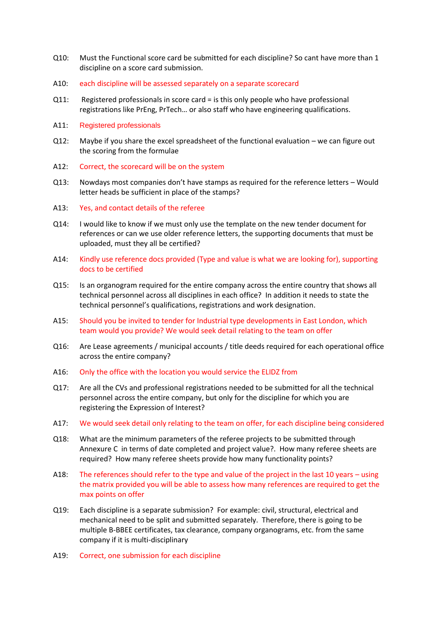- Q10: Must the Functional score card be submitted for each discipline? So cant have more than 1 discipline on a score card submission.
- A10: each discipline will be assessed separately on a separate scorecard
- Q11: Registered professionals in score card = is this only people who have professional registrations like PrEng, PrTech… or also staff who have engineering qualifications.
- A11: Registered professionals
- Q12: Maybe if you share the excel spreadsheet of the functional evaluation we can figure out the scoring from the formulae
- A12: Correct, the scorecard will be on the system
- Q13: Nowdays most companies don't have stamps as required for the reference letters Would letter heads be sufficient in place of the stamps?
- A13: Yes, and contact details of the referee
- Q14: I would like to know if we must only use the template on the new tender document for references or can we use older reference letters, the supporting documents that must be uploaded, must they all be certified?
- A14: Kindly use reference docs provided (Type and value is what we are looking for), supporting docs to be certified
- Q15: Is an organogram required for the entire company across the entire country that shows all technical personnel across all disciplines in each office? In addition it needs to state the technical personnel's qualifications, registrations and work designation.
- A15: Should you be invited to tender for Industrial type developments in East London, which team would you provide? We would seek detail relating to the team on offer
- Q16: Are Lease agreements / municipal accounts / title deeds required for each operational office across the entire company?
- A16: Only the office with the location you would service the ELIDZ from
- Q17: Are all the CVs and professional registrations needed to be submitted for all the technical personnel across the entire company, but only for the discipline for which you are registering the Expression of Interest?
- A17: We would seek detail only relating to the team on offer, for each discipline being considered
- Q18: What are the minimum parameters of the referee projects to be submitted through Annexure C in terms of date completed and project value?. How many referee sheets are required? How many referee sheets provide how many functionality points?
- A18: The references should refer to the type and value of the project in the last 10 years using the matrix provided you will be able to assess how many references are required to get the max points on offer
- Q19: Each discipline is a separate submission? For example: civil, structural, electrical and mechanical need to be split and submitted separately. Therefore, there is going to be multiple B-BBEE certificates, tax clearance, company organograms, etc. from the same company if it is multi-disciplinary
- A19: Correct, one submission for each discipline